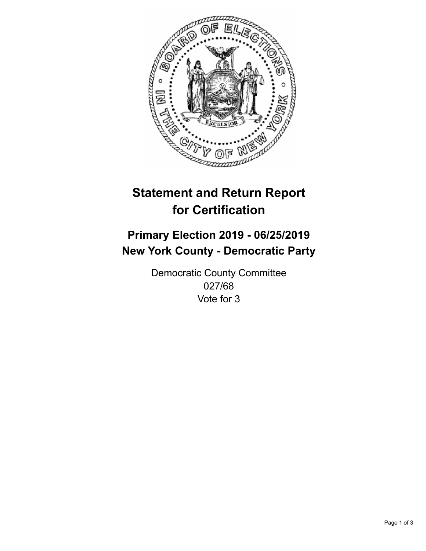

## **Statement and Return Report for Certification**

## **Primary Election 2019 - 06/25/2019 New York County - Democratic Party**

Democratic County Committee 027/68 Vote for 3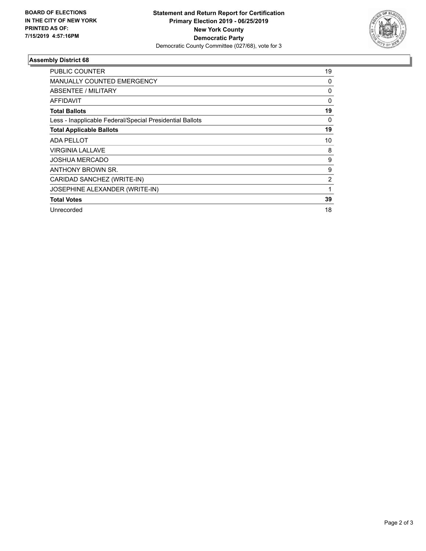

## **Assembly District 68**

| <b>PUBLIC COUNTER</b>                                    | 19 |
|----------------------------------------------------------|----|
| <b>MANUALLY COUNTED EMERGENCY</b>                        | 0  |
| ABSENTEE / MILITARY                                      | 0  |
| <b>AFFIDAVIT</b>                                         | 0  |
| <b>Total Ballots</b>                                     | 19 |
| Less - Inapplicable Federal/Special Presidential Ballots | 0  |
| <b>Total Applicable Ballots</b>                          | 19 |
| <b>ADA PELLOT</b>                                        | 10 |
| <b>VIRGINIA LALLAVE</b>                                  | 8  |
| <b>JOSHUA MERCADO</b>                                    | 9  |
| ANTHONY BROWN SR.                                        | 9  |
| CARIDAD SANCHEZ (WRITE-IN)                               | 2  |
| JOSEPHINE ALEXANDER (WRITE-IN)                           | 1  |
| <b>Total Votes</b>                                       | 39 |
| Unrecorded                                               | 18 |